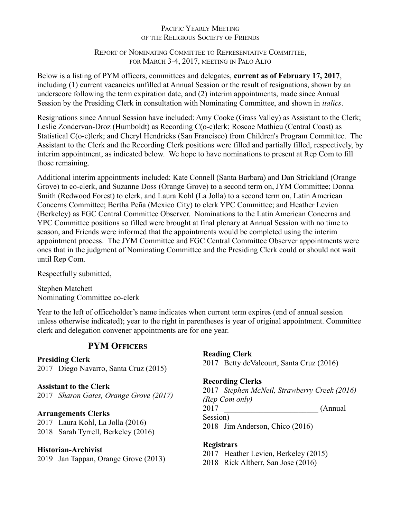## PACIFIC YEARLY MEETING OF THE RELIGIOUS SOCIETY OF FRIENDS

## REPORT OF NOMINATING COMMITTEE TO REPRESENTATIVE COMMITTEE, FOR MARCH 3-4, 2017, MEETING IN PALO ALTO

Below is a listing of PYM officers, committees and delegates, **current as of February 17, 2017**, including (1) current vacancies unfilled at Annual Session or the result of resignations, shown by an underscore following the term expiration date, and (2) interim appointments, made since Annual Session by the Presiding Clerk in consultation with Nominating Committee, and shown in *italics*.

Resignations since Annual Session have included: Amy Cooke (Grass Valley) as Assistant to the Clerk; Leslie Zondervan-Droz (Humboldt) as Recording C(o-c)lerk; Roscoe Mathieu (Central Coast) as Statistical C(o-c)lerk; and Cheryl Hendricks (San Francisco) from Children's Program Committee. The Assistant to the Clerk and the Recording Clerk positions were filled and partially filled, respectively, by interim appointment, as indicated below. We hope to have nominations to present at Rep Com to fill those remaining.

Additional interim appointments included: Kate Connell (Santa Barbara) and Dan Strickland (Orange Grove) to co-clerk, and Suzanne Doss (Orange Grove) to a second term on, JYM Committee; Donna Smith (Redwood Forest) to clerk, and Laura Kohl (La Jolla) to a second term on, Latin American Concerns Committee; Bertha Peña (Mexico City) to clerk YPC Committee; and Heather Levien (Berkeley) as FGC Central Committee Observer. Nominations to the Latin American Concerns and YPC Committee positions so filled were brought at final plenary at Annual Session with no time to season, and Friends were informed that the appointments would be completed using the interim appointment process. The JYM Committee and FGC Central Committee Observer appointments were ones that in the judgment of Nominating Committee and the Presiding Clerk could or should not wait until Rep Com.

Respectfully submitted,

Stephen Matchett Nominating Committee co-clerk

Year to the left of officeholder's name indicates when current term expires (end of annual session unless otherwise indicated); year to the right in parentheses is year of original appointment. Committee clerk and delegation convener appointments are for one year.

# **PYM OFFICERS**

## **Presiding Clerk**

2017 Diego Navarro, Santa Cruz (2015)

## **Assistant to the Clerk**

2017 *Sharon Gates, Orange Grove (2017)*

## **Arrangements Clerks**

2017 Laura Kohl, La Jolla (2016) 2018 Sarah Tyrrell, Berkeley (2016)

## **Historian-Archivist**

2019 Jan Tappan, Orange Grove (2013)

**Reading Clerk** 2017 Betty deValcourt, Santa Cruz (2016)

## **Recording Clerks**

2017 *Stephen McNeil, Strawberry Creek (2016) (Rep Com only)* 2017 (Annual) Session) 2018 Jim Anderson, Chico (2016)

## **Registrars**

2017 Heather Levien, Berkeley (2015)

2018 Rick Altherr, San Jose (2016)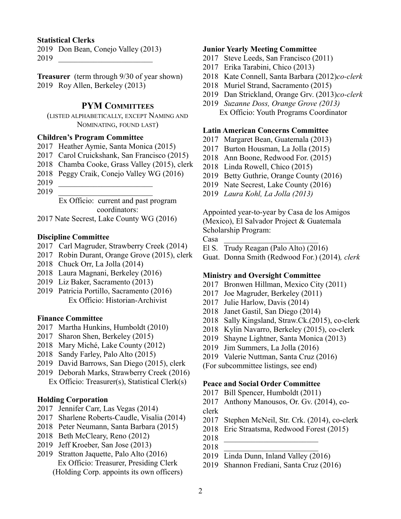#### **Statistical Clerks**

 Don Bean, Conejo Valley (2013) \_\_\_\_\_\_\_\_\_\_\_\_\_\_\_\_\_\_\_\_\_\_\_\_

**Treasurer** (term through 9/30 of year shown) Roy Allen, Berkeley (2013)

## **PYM COMMITTEES**

(LISTED ALPHABETICALLY, EXCEPT NAMING AND NOMINATING, FOUND LAST)

#### **Children's Program Committee**

- Heather Aymie, Santa Monica (2015)
- Carol Cruickshank, San Francisco (2015)
- Chamba Cooke, Grass Valley (2015), clerk
- Peggy Craik, Conejo Valley WG (2016)
- \_\_\_\_\_\_\_\_\_\_\_\_\_\_\_\_\_\_\_\_\_\_\_\_
- \_\_\_\_\_\_\_\_\_\_\_\_\_\_\_\_\_\_\_\_\_\_\_\_

Ex Officio: current and past program coordinators:

2017 Nate Secrest, Lake County WG (2016)

#### **Discipline Committee**

- 2017 Carl Magruder, Strawberry Creek (2014)
- Robin Durant, Orange Grove (2015), clerk
- Chuck Orr, La Jolla (2014)
- Laura Magnani, Berkeley (2016)
- Liz Baker, Sacramento (2013)
- Patricia Portillo, Sacramento (2016) Ex Officio: Historian-Archivist

#### **Finance Committee**

- Martha Hunkins, Humboldt (2010)
- Sharon Shen, Berkeley (2015)
- Mary Miché, Lake County (2012)
- Sandy Farley, Palo Alto (2015)
- David Barrows, San Diego (2015), clerk
- Deborah Marks, Strawberry Creek (2016) Ex Officio: Treasurer(s), Statistical Clerk(s)

#### **Holding Corporation**

- 2017 Jennifer Carr, Las Vegas (2014)
- Sharlene Roberts-Caudle, Visalia (2014)
- Peter Neumann, Santa Barbara (2015)
- Beth McCleary, Reno (2012)
- Jeff Kroeber, San Jose (2013)
- Stratton Jaquette, Palo Alto (2016) Ex Officio: Treasurer, Presiding Clerk (Holding Corp. appoints its own officers)

#### **Junior Yearly Meeting Committee**

- Steve Leeds, San Francisco (2011)
- Erika Tarabini, Chico (2013)
- Kate Connell, Santa Barbara (2012)*co-clerk*
- Muriel Strand, Sacramento (2015)
- Dan Strickland, Orange Grv. (2013)*co-clerk*
- *Suzanne Doss, Orange Grove (2013)* Ex Officio: Youth Programs Coordinator

## **Latin American Concerns Committee**

- Margaret Bean, Guatemala (2013)
- Burton Housman, La Jolla (2015)
- Ann Boone, Redwood For. (2015)
- Linda Rowell, Chico (2015)
- Betty Guthrie, Orange County (2016)
- Nate Secrest, Lake County (2016)
- *Laura Kohl, La Jolla (2013)*

Appointed year-to-year by Casa de los Amigos (Mexico), El Salvador Project & Guatemala Scholarship Program:

Casa \_\_\_\_\_\_\_\_\_\_\_\_\_\_\_\_\_\_\_\_\_\_\_\_

- El S. Trudy Reagan (Palo Alto) (2016)
- Guat. Donna Smith (Redwood For.) (2014)*, clerk*

#### **Ministry and Oversight Committee**

- 2017 Bronwen Hillman, Mexico City (2011)
- Joe Magruder, Berkeley (2011)
- Julie Harlow, Davis (2014)
- Janet Gastil, San Diego (2014)
- Sally Kingsland, Straw.Ck.(2015), co-clerk
- Kylin Navarro, Berkeley (2015), co-clerk
- Shayne Lightner, Santa Monica (2013)
- Jim Summers, La Jolla (2016)
- Valerie Nuttman, Santa Cruz (2016)

(For subcommittee listings, see end)

#### **Peace and Social Order Committee**

- Bill Spencer, Humboldt (2011)
- Anthony Manousos, Or. Gv. (2014), co-
- clerk
- Stephen McNeil, Str. Crk. (2014), co-clerk
- Eric Straatsma, Redwood Forest (2015)
- \_\_\_\_\_\_\_\_\_\_\_\_\_\_\_\_\_\_\_\_\_\_\_\_
- \_\_\_\_\_\_\_\_\_\_\_\_\_\_\_\_\_\_\_\_\_\_\_\_
- Linda Dunn, Inland Valley (2016)
- Shannon Frediani, Santa Cruz (2016)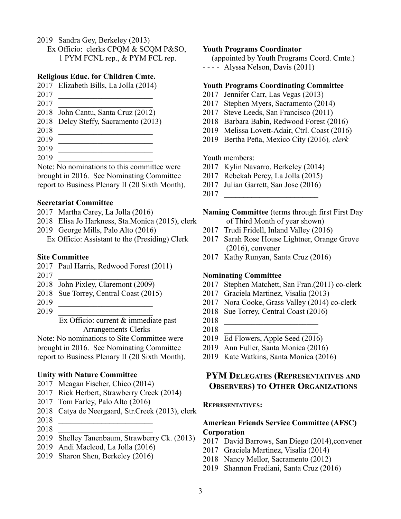- Sandra Gey, Berkeley (2013)
	- Ex Officio: clerks CPQM & SCQM P&SO, 1 PYM FCNL rep., & PYM FCL rep.

#### **Religious Educ. for Children Cmte.**

- Elizabeth Bills, La Jolla (2014)
- **\_\_\_\_\_\_\_\_\_\_\_\_\_\_\_\_\_\_\_\_\_\_\_\_**
- **\_\_\_\_\_\_\_\_\_\_\_\_\_\_\_\_\_\_\_\_\_\_\_\_** John Cantu, Santa Cruz (2012)
- Delcy Steffy, Sacramento (2013)
- **\_\_\_\_\_\_\_\_\_\_\_\_\_\_\_\_\_\_\_\_\_\_\_\_**
- \_\_\_\_\_\_\_\_\_\_\_\_\_\_\_\_\_\_\_\_\_\_\_\_
- \_\_\_\_\_\_\_\_\_\_\_\_\_\_\_\_\_\_\_\_\_\_\_\_
- \_\_\_\_\_\_\_\_\_\_\_\_\_\_\_\_\_\_\_\_\_\_\_\_

Note: No nominations to this committee were brought in 2016. See Nominating Committee report to Business Plenary II (20 Sixth Month).

#### **Secretariat Committee**

- Martha Carey, La Jolla (2016)
- Elisa Jo Harkness, Sta.Monica (2015), clerk
- George Mills, Palo Alto (2016)
	- Ex Officio: Assistant to the (Presiding) Clerk

#### **Site Committee**

- Paul Harris, Redwood Forest (2011)
- **\_\_\_\_\_\_\_\_\_\_\_\_\_\_\_\_\_\_\_\_\_\_\_\_**
- John Pixley, Claremont (2009)
- Sue Torrey, Central Coast (2015)
- \_\_\_\_\_\_\_\_\_\_\_\_\_\_\_\_\_\_\_\_\_\_\_\_
- \_\_\_\_\_\_\_\_\_\_\_\_\_\_\_\_\_\_\_\_\_\_\_\_

Ex Officio: current & immediate past Arrangements Clerks

Note: No nominations to Site Committee were brought in 2016. See Nominating Committee report to Business Plenary II (20 Sixth Month).

## **Unity with Nature Committee**

- Meagan Fischer, Chico (2014)
- Rick Herbert, Strawberry Creek (2014)
- Tom Farley, Palo Alto (2016)
- Catya de Neergaard, Str.Creek (2013), clerk
- **\_\_\_\_\_\_\_\_\_\_\_\_\_\_\_\_\_\_\_\_\_\_\_\_**
- **\_\_\_\_\_\_\_\_\_\_\_\_\_\_\_\_\_\_\_\_\_\_\_\_**
- Shelley Tanenbaum, Strawberry Ck. (2013)
- Andi Macleod, La Jolla (2016)
- Sharon Shen, Berkeley (2016)

#### **Youth Programs Coordinator**

(appointed by Youth Programs Coord. Cmte.) - - - - Alyssa Nelson, Davis (2011)

#### **Youth Programs Coordinating Committee**

- Jennifer Carr, Las Vegas (2013)
- Stephen Myers, Sacramento (2014)
- Steve Leeds, San Francisco (2011)
- Barbara Babin, Redwood Forest (2016)
- Melissa Lovett-Adair, Ctrl. Coast (2016)
- Bertha Peña, Mexico City (2016)*, clerk*

#### Youth members:

- Kylin Navarro, Berkeley (2014)
- Rebekah Percy, La Jolla (2015)
- Julian Garrett, San Jose (2016)
- **\_\_\_\_\_\_\_\_\_\_\_\_\_\_\_\_\_\_\_\_\_\_\_\_**

#### **Naming Committee** (terms through first First Day of Third Month of year shown)

- Trudi Fridell, Inland Valley (2016)
- Sarah Rose House Lightner, Orange Grove (2016), convener
- Kathy Runyan, Santa Cruz (2016)

#### **Nominating Committee**

- Stephen Matchett, San Fran.(2011) co-clerk
- Graciela Martinez, Visalia (2013)
- Nora Cooke, Grass Valley (2014) co-clerk
- Sue Torrey, Central Coast (2016)
- \_\_\_\_\_\_\_\_\_\_\_\_\_\_\_\_\_\_\_\_\_\_\_\_
- \_\_\_\_\_\_\_\_\_\_\_\_\_\_\_\_\_\_\_\_\_\_\_\_
- Ed Flowers, Apple Seed (2016)
- Ann Fuller, Santa Monica (2016)
- Kate Watkins, Santa Monica (2016)

## **PYM DELEGATES (REPRESENTATIVES AND OBSERVERS) TO OTHER ORGANIZATIONS**

#### **REPRESENTATIVES:**

## **American Friends Service Committee (AFSC) Corporation**

- David Barrows, San Diego (2014),convener
- Graciela Martinez, Visalia (2014)
- Nancy Mellor, Sacramento (2012)
- Shannon Frediani, Santa Cruz (2016)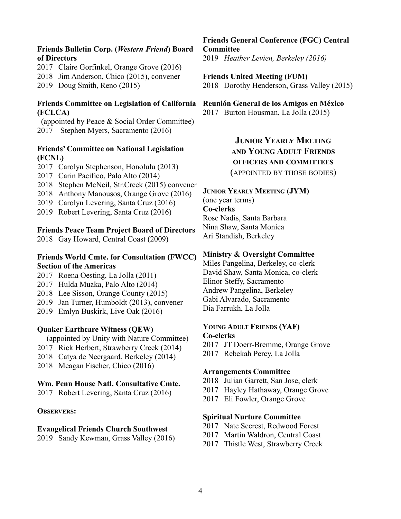## **Friends Bulletin Corp. (***Western Friend***) Board of Directors**

2017 Claire Gorfinkel, Orange Grove (2016) 2018 Jim Anderson, Chico (2015), convener

2019 Doug Smith, Reno (2015)

## **Friends Committee on Legislation of California (FCLCA)**

(appointed by Peace & Social Order Committee) 2017 Stephen Myers, Sacramento (2016)

## **Friends' Committee on National Legislation (FCNL)**

- 2017 Carolyn Stephenson, Honolulu (2013)
- 2017 Carin Pacifico, Palo Alto (2014)
- 2018 Stephen McNeil, Str.Creek (2015) convener
- 2018 Anthony Manousos, Orange Grove (2016)
- 2019 Carolyn Levering, Santa Cruz (2016)
- 2019 Robert Levering, Santa Cruz (2016)

#### **Friends Peace Team Project Board of Directors**

2018 Gay Howard, Central Coast (2009)

## **Friends World Cmte. for Consultation (FWCC) Section of the Americas**

- 2017 Roena Oesting, La Jolla (2011)
- 2017 Hulda Muaka, Palo Alto (2014)
- 2018 Lee Sisson, Orange County (2015)
- 2019 Jan Turner, Humboldt (2013), convener
- 2019 Emlyn Buskirk, Live Oak (2016)

#### **Quaker Earthcare Witness (QEW)**

(appointed by Unity with Nature Committee)

- 2017 Rick Herbert, Strawberry Creek (2014)
- 2018 Catya de Neergaard, Berkeley (2014)
- 2018 Meagan Fischer, Chico (2016)

#### **Wm. Penn House Natl. Consultative Cmte.**

2017 Robert Levering, Santa Cruz (2016)

#### **OBSERVERS:**

#### **Evangelical Friends Church Southwest**

2019 Sandy Kewman, Grass Valley (2016)

**Friends General Conference (FGC) Central Committee**  2019 *Heather Levien, Berkeley (2016)*

**Friends United Meeting (FUM)** 2018 Dorothy Henderson, Grass Valley (2015)

# **Reunión General de los Amigos en México**

2017 Burton Housman, La Jolla (2015)

**JUNIOR YEARLY MEETING AND YOUNG ADULT FRIENDS OFFICERS AND COMMITTEES** (APPOINTED BY THOSE BODIES)

## **JUNIOR YEARLY MEETING (JYM)**

(one year terms) **Co-clerks** Rose Nadis, Santa Barbara Nina Shaw, Santa Monica Ari Standish, Berkeley

#### **Ministry & Oversight Committee**

Miles Pangelina, Berkeley, co-clerk David Shaw, Santa Monica, co-clerk Elinor Steffy, Sacramento Andrew Pangelina, Berkeley Gabi Alvarado, Sacramento Dia Farrukh, La Jolla

#### **YOUNG ADULT FRIENDS (YAF) Co-clerks**

- 2017 JT Doerr-Bremme, Orange Grove
- 2017 Rebekah Percy, La Jolla

#### **Arrangements Committee**

- 2018 Julian Garrett, San Jose, clerk
- 2017 Hayley Hathaway, Orange Grove
- 2017 Eli Fowler, Orange Grove

#### **Spiritual Nurture Committee**

- 2017 Nate Secrest, Redwood Forest
- 2017 Martin Waldron, Central Coast
- 2017 Thistle West, Strawberry Creek